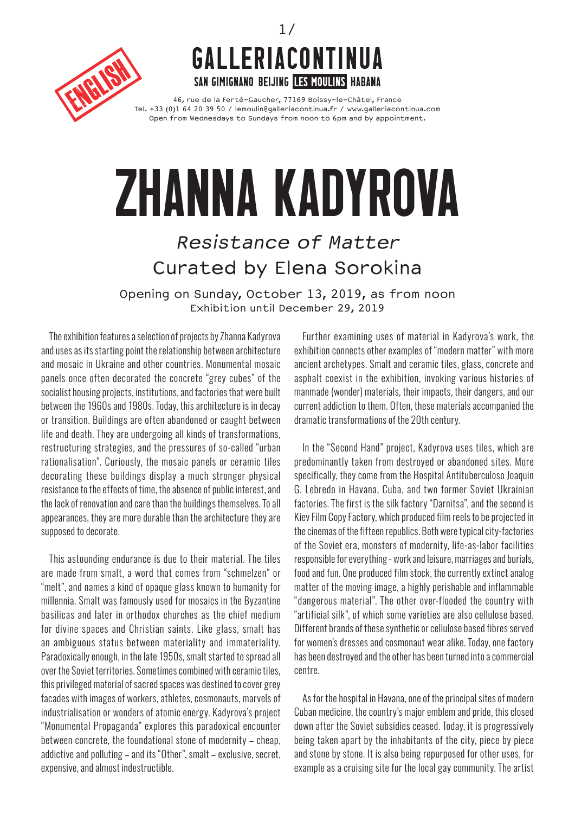



46, rue de la Ferté-Gaucher, 77169 Boissy-le-Châtel, France Tel. +33 (0)1 64 20 39 50 / lemoulin@galleriacontinua.fr / www.galleriacontinua.com Open from Wednesdays to Sundays from noon to 6pm and by appointment.

## zhanna kadyrova

## Resistance of Matter Curated by Elena Sorokina

Opening on Sunday, October 13, 2019, as from noon Exhibition until December 29, 2019

The exhibition features a selection of projects by Zhanna Kadyrova and uses as its starting point the relationship between architecture and mosaic in Ukraine and other countries. Monumental mosaic panels once often decorated the concrete "grey cubes" of the socialist housing projects, institutions, and factories that were built between the 1960s and 1980s. Today, this architecture is in decay or transition. Buildings are often abandoned or caught between life and death. They are undergoing all kinds of transformations, restructuring strategies, and the pressures of so-called "urban rationalisation". Curiously, the mosaic panels or ceramic tiles decorating these buildings display a much stronger physical resistance to the effects of time, the absence of public interest, and the lack of renovation and care than the buildings themselves. To all appearances, they are more durable than the architecture they are supposed to decorate.

This astounding endurance is due to their material. The tiles are made from smalt, a word that comes from "schmelzen" or "melt", and names a kind of opaque glass known to humanity for millennia. Smalt was famously used for mosaics in the Byzantine basilicas and later in orthodox churches as the chief medium for divine spaces and Christian saints. Like glass, smalt has an ambiguous status between materiality and immateriality. Paradoxically enough, in the late 1950s, smalt started to spread all over the Soviet territories. Sometimes combined with ceramic tiles, this privileged material of sacred spaces was destined to cover grey facades with images of workers, athletes, cosmonauts, marvels of industrialisation or wonders of atomic energy. Kadyrova's project "Monumental Propaganda" explores this paradoxical encounter between concrete, the foundational stone of modernity – cheap, addictive and polluting – and its "Other", smalt – exclusive, secret, expensive, and almost indestructible.

Further examining uses of material in Kadyrova's work, the exhibition connects other examples of "modern matter" with more ancient archetypes. Smalt and ceramic tiles, glass, concrete and asphalt coexist in the exhibition, invoking various histories of manmade (wonder) materials, their impacts, their dangers, and our current addiction to them. Often, these materials accompanied the dramatic transformations of the 20th century.

In the "Second Hand" project, Kadyrova uses tiles, which are predominantly taken from destroyed or abandoned sites. More specifically, they come from the Hospital Antituberculoso Joaquin G. Lebredo in Havana, Cuba, and two former Soviet Ukrainian factories. The first is the silk factory "Darnitsa", and the second is Kiev Film Copy Factory, which produced film reels to be projected in the cinemas of the fifteen republics. Both were typical city-factories of the Soviet era, monsters of modernity, life-as-labor facilities responsible for everything - work and leisure, marriages and burials, food and fun. One produced film stock, the currently extinct analog matter of the moving image, a highly perishable and inflammable "dangerous material". The other over-flooded the country with "artificial silk", of which some varieties are also cellulose based. Different brands of these synthetic or cellulose based fibres served for women's dresses and cosmonaut wear alike. Today, one factory has been destroyed and the other has been turned into a commercial centre.

As for the hospital in Havana, one of the principal sites of modern Cuban medicine, the country's major emblem and pride, this closed down after the Soviet subsidies ceased. Today, it is progressively being taken apart by the inhabitants of the city, piece by piece and stone by stone. It is also being repurposed for other uses, for example as a cruising site for the local gay community. The artist